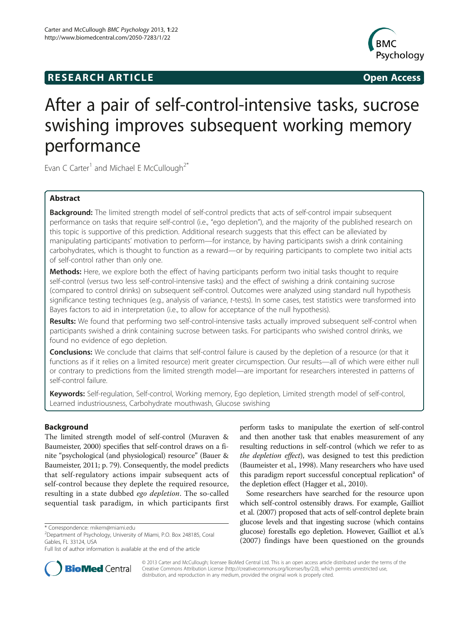# **RESEARCH ARTICLE Example 2014 CONSIDERING CONSIDERING CONSIDERING CONSIDERING CONSIDERING CONSIDERING CONSIDERING CONSIDERING CONSIDERING CONSIDERING CONSIDERING CONSIDERING CONSIDERING CONSIDERING CONSIDERING CONSIDE**



# After a pair of self-control-intensive tasks, sucrose swishing improves subsequent working memory performance

Evan C Carter<sup>1</sup> and Michael E McCullough<sup>2\*</sup>

# Abstract

Background: The limited strength model of self-control predicts that acts of self-control impair subsequent performance on tasks that require self-control (i.e., "ego depletion"), and the majority of the published research on this topic is supportive of this prediction. Additional research suggests that this effect can be alleviated by manipulating participants' motivation to perform—for instance, by having participants swish a drink containing carbohydrates, which is thought to function as a reward—or by requiring participants to complete two initial acts of self-control rather than only one.

Methods: Here, we explore both the effect of having participants perform two initial tasks thought to require self-control (versus two less self-control-intensive tasks) and the effect of swishing a drink containing sucrose (compared to control drinks) on subsequent self-control. Outcomes were analyzed using standard null hypothesis significance testing techniques (e.g., analysis of variance, t-tests). In some cases, test statistics were transformed into Bayes factors to aid in interpretation (i.e., to allow for acceptance of the null hypothesis).

Results: We found that performing two self-control-intensive tasks actually improved subsequent self-control when participants swished a drink containing sucrose between tasks. For participants who swished control drinks, we found no evidence of ego depletion.

**Conclusions:** We conclude that claims that self-control failure is caused by the depletion of a resource (or that it functions as if it relies on a limited resource) merit greater circumspection. Our results—all of which were either null or contrary to predictions from the limited strength model—are important for researchers interested in patterns of self-control failure.

Keywords: Self-regulation, Self-control, Working memory, Ego depletion, Limited strength model of self-control, Learned industriousness, Carbohydrate mouthwash, Glucose swishing

# **Background**

The limited strength model of self-control (Muraven & Baumeister, [2000](#page-8-0)) specifies that self-control draws on a finite "psychological (and physiological) resource" (Bauer & Baumeister, [2011;](#page-8-0) p. 79). Consequently, the model predicts that self-regulatory actions impair subsequent acts of self-control because they deplete the required resource, resulting in a state dubbed *ego depletion*. The so-called sequential task paradigm, in which participants first

perform tasks to manipulate the exertion of self-control and then another task that enables measurement of any resulting reductions in self-control (which we refer to as the depletion effect), was designed to test this prediction (Baumeister et al., [1998](#page-8-0)). Many researchers who have used this paradigm report successful conceptual replication<sup>a</sup> of the depletion effect (Hagger et al., [2010\)](#page-8-0).

Some researchers have searched for the resource upon which self-control ostensibly draws. For example, Gailliot et al. [\(2007](#page-8-0)) proposed that acts of self-control deplete brain glucose levels and that ingesting sucrose (which contains glucose) forestalls ego depletion. However, Gailliot et al.'s ([2007\)](#page-8-0) findings have been questioned on the grounds



© 2013 Carter and McCullough; licensee BioMed Central Ltd. This is an open access article distributed under the terms of the Creative Commons Attribution License (<http://creativecommons.org/licenses/by/2.0>), which permits unrestricted use, distribution, and reproduction in any medium, provided the original work is properly cited.

<sup>\*</sup> Correspondence: [mikem@miami.edu](mailto:mikem@miami.edu) <sup>2</sup>

Department of Psychology, University of Miami, P.O. Box 248185, Coral Gables, FL 33124, USA

Full list of author information is available at the end of the article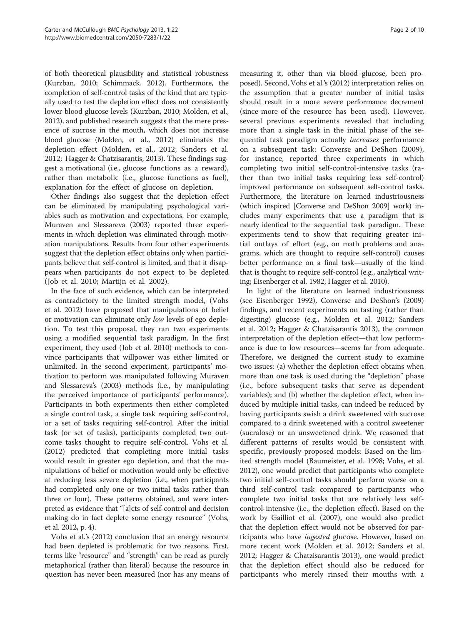of both theoretical plausibility and statistical robustness (Kurzban, [2010](#page-8-0); Schimmack, [2012\)](#page-8-0). Furthermore, the completion of self-control tasks of the kind that are typically used to test the depletion effect does not consistently lower blood glucose levels (Kurzban, [2010](#page-8-0); Molden, et al., [2012\)](#page-8-0), and published research suggests that the mere presence of sucrose in the mouth, which does not increase blood glucose (Molden, et al., [2012\)](#page-8-0) eliminates the depletion effect (Molden, et al., [2012;](#page-8-0) Sanders et al. [2012;](#page-8-0) Hagger & Chatzisarantis, [2013\)](#page-8-0). These findings suggest a motivational (i.e., glucose functions as a reward), rather than metabolic (i.e., glucose functions as fuel), explanation for the effect of glucose on depletion.

Other findings also suggest that the depletion effect can be eliminated by manipulating psychological variables such as motivation and expectations. For example, Muraven and Slessareva [\(2003](#page-8-0)) reported three experiments in which depletion was eliminated through motivation manipulations. Results from four other experiments suggest that the depletion effect obtains only when participants believe that self-control is limited, and that it disappears when participants do not expect to be depleted (Job et al. [2010;](#page-8-0) Martijn et al. [2002](#page-8-0)).

In the face of such evidence, which can be interpreted as contradictory to the limited strength model, (Vohs et al. [2012](#page-9-0)) have proposed that manipulations of belief or motivation can eliminate only low levels of ego depletion. To test this proposal, they ran two experiments using a modified sequential task paradigm. In the first experiment, they used (Job et al. [2010](#page-8-0)) methods to convince participants that willpower was either limited or unlimited. In the second experiment, participants' motivation to perform was manipulated following Muraven and Slessareva's [\(2003\)](#page-8-0) methods (i.e., by manipulating the perceived importance of participants' performance). Participants in both experiments then either completed a single control task, a single task requiring self-control, or a set of tasks requiring self-control. After the initial task (or set of tasks), participants completed two outcome tasks thought to require self-control. Vohs et al. ([2012](#page-9-0)) predicted that completing more initial tasks would result in greater ego depletion, and that the manipulations of belief or motivation would only be effective at reducing less severe depletion (i.e., when participants had completed only one or two initial tasks rather than three or four). These patterns obtained, and were interpreted as evidence that "[a]cts of self-control and decision making do in fact deplete some energy resource" (Vohs, et al. [2012](#page-9-0), p. 4).

Vohs et al.'s [\(2012\)](#page-9-0) conclusion that an energy resource had been depleted is problematic for two reasons. First, terms like "resource" and "strength" can be read as purely metaphorical (rather than literal) because the resource in question has never been measured (nor has any means of

measuring it, other than via blood glucose, been proposed). Second, Vohs et al.'s [\(2012](#page-9-0)) interpretation relies on the assumption that a greater number of initial tasks should result in a more severe performance decrement (since more of the resource has been used). However, several previous experiments revealed that including more than a single task in the initial phase of the sequential task paradigm actually increases performance on a subsequent task: Converse and DeShon [\(2009](#page-8-0)), for instance, reported three experiments in which completing two initial self-control-intensive tasks (rather than two initial tasks requiring less self-control) improved performance on subsequent self-control tasks. Furthermore, the literature on learned industriousness (which inspired [Converse and DeShon [2009](#page-8-0)] work) includes many experiments that use a paradigm that is nearly identical to the sequential task paradigm. These experiments tend to show that requiring greater initial outlays of effort (e.g., on math problems and anagrams, which are thought to require self-control) causes better performance on a final task—usually of the kind that is thought to require self-control (e.g., analytical writing; Eisenberger et al. [1982;](#page-8-0) Hagger et al. [2010\)](#page-8-0).

In light of the literature on learned industriousness (see Eisenberger [1992](#page-8-0)), Converse and DeShon's ([2009](#page-8-0)) findings, and recent experiments on tasting (rather than digesting) glucose (e.g., Molden et al. [2012](#page-8-0); Sanders et al. [2012;](#page-8-0) Hagger & Chatzisarantis [2013](#page-8-0)), the common interpretation of the depletion effect—that low performance is due to low resources—seems far from adequate. Therefore, we designed the current study to examine two issues: (a) whether the depletion effect obtains when more than one task is used during the "depletion" phase (i.e., before subsequent tasks that serve as dependent variables); and (b) whether the depletion effect, when induced by multiple initial tasks, can indeed be reduced by having participants swish a drink sweetened with sucrose compared to a drink sweetened with a control sweetener (sucralose) or an unsweetened drink. We reasoned that different patterns of results would be consistent with specific, previously proposed models: Based on the limited strength model (Baumeister, et al. [1998](#page-8-0); Vohs, et al. [2012](#page-9-0)), one would predict that participants who complete two initial self-control tasks should perform worse on a third self-control task compared to participants who complete two initial tasks that are relatively less selfcontrol-intensive (i.e., the depletion effect). Based on the work by Gailliot et al. [\(2007](#page-8-0)), one would also predict that the depletion effect would not be observed for participants who have *ingested* glucose. However, based on more recent work (Molden et al. [2012](#page-8-0); Sanders et al. [2012](#page-8-0); Hagger & Chatzisarantis [2013](#page-8-0)), one would predict that the depletion effect should also be reduced for participants who merely rinsed their mouths with a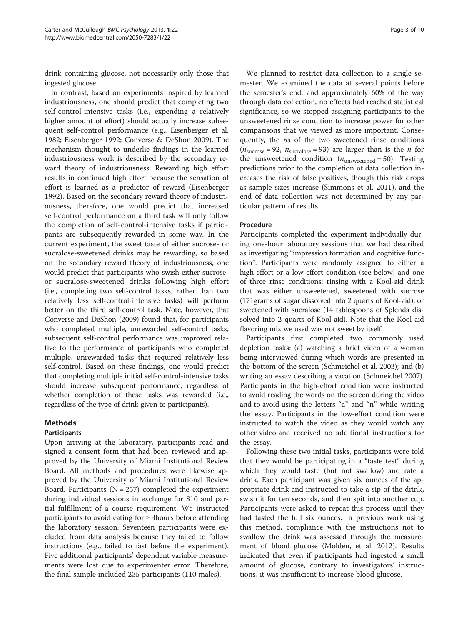drink containing glucose, not necessarily only those that ingested glucose.

In contrast, based on experiments inspired by learned industriousness, one should predict that completing two self-control-intensive tasks (i.e., expending a relatively higher amount of effort) should actually increase subsequent self-control performance (e.g., Eisenberger et al. [1982](#page-8-0); Eisenberger [1992;](#page-8-0) Converse & DeShon [2009\)](#page-8-0). The mechanism thought to underlie findings in the learned industriousness work is described by the secondary reward theory of industriousness: Rewarding high effort results in continued high effort because the sensation of effort is learned as a predictor of reward (Eisenberger [1992](#page-8-0)). Based on the secondary reward theory of industriousness, therefore, one would predict that increased self-control performance on a third task will only follow the completion of self-control-intensive tasks if participants are subsequently rewarded in some way. In the current experiment, the sweet taste of either sucrose- or sucralose-sweetened drinks may be rewarding, so based on the secondary reward theory of industriousness, one would predict that participants who swish either sucroseor sucralose-sweetened drinks following high effort (i.e., completing two self-control tasks, rather than two relatively less self-control-intensive tasks) will perform better on the third self-control task. Note, however, that Converse and DeShon [\(2009\)](#page-8-0) found that, for participants who completed multiple, unrewarded self-control tasks, subsequent self-control performance was improved relative to the performance of participants who completed multiple, unrewarded tasks that required relatively less self-control. Based on these findings, one would predict that completing multiple initial self-control-intensive tasks should increase subsequent performance, regardless of whether completion of these tasks was rewarded (i.e., regardless of the type of drink given to participants).

# Methods

## Participants

Upon arriving at the laboratory, participants read and signed a consent form that had been reviewed and approved by the University of Miami Institutional Review Board. All methods and procedures were likewise approved by the University of Miami Institutional Review Board. Participants ( $N = 257$ ) completed the experiment during individual sessions in exchange for \$10 and partial fulfillment of a course requirement. We instructed participants to avoid eating for ≥ 3hours before attending the laboratory session. Seventeen participants were excluded from data analysis because they failed to follow instructions (e.g., failed to fast before the experiment). Five additional participants' dependent variable measurements were lost due to experimenter error. Therefore, the final sample included 235 participants (110 males).

We planned to restrict data collection to a single semester. We examined the data at several points before the semester's end, and approximately 60% of the way through data collection, no effects had reached statistical significance, so we stopped assigning participants to the unsweetened rinse condition to increase power for other comparisons that we viewed as more important. Consequently, the *ns* of the two sweetened rinse conditions  $(n_{\text{surrose}} = 92, n_{\text{surralous}} = 93)$  are larger than is the *n* for the unsweetened condition  $(n_{\text{unsweetened}} = 50)$ . Testing predictions prior to the completion of data collection increases the risk of false positives, though this risk drops as sample sizes increase (Simmons et al. [2011\)](#page-9-0), and the end of data collection was not determined by any particular pattern of results.

#### Procedure

Participants completed the experiment individually during one-hour laboratory sessions that we had described as investigating "impression formation and cognitive function". Participants were randomly assigned to either a high-effort or a low-effort condition (see below) and one of three rinse conditions: rinsing with a Kool-aid drink that was either unsweetened, sweetened with sucrose (171grams of sugar dissolved into 2 quarts of Kool-aid), or sweetened with sucralose (14 tablespoons of Splenda dissolved into 2 quarts of Kool-aid). Note that the Kool-aid flavoring mix we used was not sweet by itself.

Participants first completed two commonly used depletion tasks: (a) watching a brief video of a woman being interviewed during which words are presented in the bottom of the screen (Schmeichel et al. [2003](#page-8-0)); and (b) writing an essay describing a vacation (Schmeichel [2007](#page-8-0)). Participants in the high-effort condition were instructed to avoid reading the words on the screen during the video and to avoid using the letters "a" and "n" while writing the essay. Participants in the low-effort condition were instructed to watch the video as they would watch any other video and received no additional instructions for the essay.

Following these two initial tasks, participants were told that they would be participating in a "taste test" during which they would taste (but not swallow) and rate a drink. Each participant was given six ounces of the appropriate drink and instructed to take a sip of the drink, swish it for ten seconds, and then spit into another cup. Participants were asked to repeat this process until they had tasted the full six ounces. In previous work using this method, compliance with the instructions not to swallow the drink was assessed through the measurement of blood glucose (Molden, et al. [2012\)](#page-8-0). Results indicated that even if participants had ingested a small amount of glucose, contrary to investigators' instructions, it was insufficient to increase blood glucose.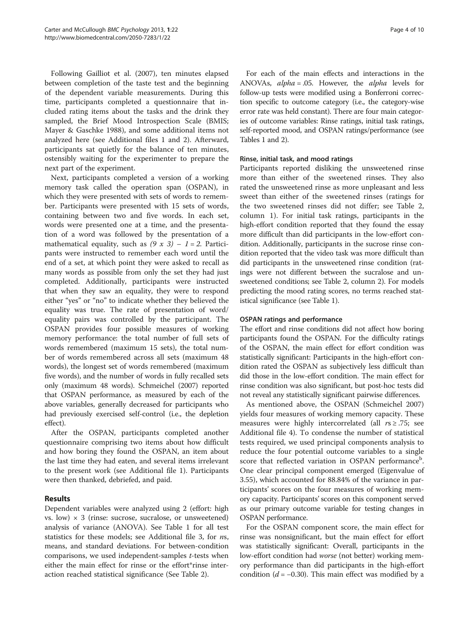Following Gailliot et al. ([2007](#page-8-0)), ten minutes elapsed between completion of the taste test and the beginning of the dependent variable measurements. During this time, participants completed a questionnaire that included rating items about the tasks and the drink they sampled, the Brief Mood Introspection Scale (BMIS; Mayer & Gaschke [1988\)](#page-8-0), and some additional items not analyzed here (see Additional files [1](#page-8-0) and [2\)](#page-8-0). Afterward, participants sat quietly for the balance of ten minutes, ostensibly waiting for the experimenter to prepare the next part of the experiment.

Next, participants completed a version of a working memory task called the operation span (OSPAN), in which they were presented with sets of words to remember. Participants were presented with 15 sets of words, containing between two and five words. In each set, words were presented one at a time, and the presentation of a word was followed by the presentation of a mathematical equality, such as  $(9 \times 3) - 1 = 2$ . Participants were instructed to remember each word until the end of a set, at which point they were asked to recall as many words as possible from only the set they had just completed. Additionally, participants were instructed that when they saw an equality, they were to respond either "yes" or "no" to indicate whether they believed the equality was true. The rate of presentation of word/ equality pairs was controlled by the participant. The OSPAN provides four possible measures of working memory performance: the total number of full sets of words remembered (maximum 15 sets), the total number of words remembered across all sets (maximum 48 words), the longest set of words remembered (maximum five words), and the number of words in fully recalled sets only (maximum 48 words). Schmeichel [\(2007\)](#page-8-0) reported that OSPAN performance, as measured by each of the above variables, generally decreased for participants who had previously exercised self-control (i.e., the depletion effect).

After the OSPAN, participants completed another questionnaire comprising two items about how difficult and how boring they found the OSPAN, an item about the last time they had eaten, and several items irrelevant to the present work (see Additional file [1\)](#page-8-0). Participants were then thanked, debriefed, and paid.

## Results

Dependent variables were analyzed using 2 (effort: high vs. low)  $\times$  3 (rinse: sucrose, sucralose, or unsweetened) analysis of variance (ANOVA). See Table [1](#page-4-0) for all test statistics for these models; see Additional file [3](#page-8-0), for ns, means, and standard deviations. For between-condition comparisons, we used independent-samples t-tests when either the main effect for rinse or the effort\*rinse interaction reached statistical significance (See Table [2](#page-4-0)).

For each of the main effects and interactions in the ANOVAs, alpha = .05. However, the alpha levels for follow-up tests were modified using a Bonferroni correction specific to outcome category (i.e., the category-wise error rate was held constant). There are four main categories of outcome variables: Rinse ratings, initial task ratings, self-reported mood, and OSPAN ratings/performance (see Tables [1](#page-4-0) and [2\)](#page-4-0).

#### Rinse, initial task, and mood ratings

Participants reported disliking the unsweetened rinse more than either of the sweetened rinses. They also rated the unsweetened rinse as more unpleasant and less sweet than either of the sweetened rinses (ratings for the two sweetened rinses did not differ; see Table [2](#page-4-0), column 1). For initial task ratings, participants in the high-effort condition reported that they found the essay more difficult than did participants in the low-effort condition. Additionally, participants in the sucrose rinse condition reported that the video task was more difficult than did participants in the unsweetened rinse condition (ratings were not different between the sucralose and unsweetened conditions; see Table [2,](#page-4-0) column 2). For models predicting the mood rating scores, no terms reached statistical significance (see Table [1\)](#page-4-0).

#### OSPAN ratings and performance

The effort and rinse conditions did not affect how boring participants found the OSPAN. For the difficulty ratings of the OSPAN, the main effect for effort condition was statistically significant: Participants in the high-effort condition rated the OSPAN as subjectively less difficult than did those in the low-effort condition. The main effect for rinse condition was also significant, but post-hoc tests did not reveal any statistically significant pairwise differences.

As mentioned above, the OSPAN (Schmeichel [2007](#page-8-0)) yields four measures of working memory capacity. These measures were highly intercorrelated (all  $rs \geq .75$ ; see Additional file [4\)](#page-8-0). To condense the number of statistical tests required, we used principal components analysis to reduce the four potential outcome variables to a single score that reflected variation in OSPAN performance<sup>b</sup>. One clear principal component emerged (Eigenvalue of 3.55), which accounted for 88.84% of the variance in participants' scores on the four measures of working memory capacity. Participants' scores on this component served as our primary outcome variable for testing changes in OSPAN performance.

For the OSPAN component score, the main effect for rinse was nonsignificant, but the main effect for effort was statistically significant: Overall, participants in the low-effort condition had worse (not better) working memory performance than did participants in the high-effort condition ( $d = -0.30$ ). This main effect was modified by a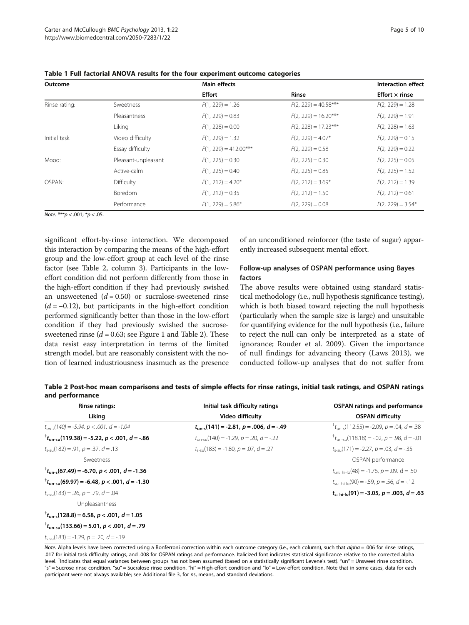| Outcome       |                     | <b>Main effects</b>     | <b>Interaction effect</b> |                       |
|---------------|---------------------|-------------------------|---------------------------|-----------------------|
|               |                     | <b>Effort</b>           | <b>Rinse</b>              | Effort $\times$ rinse |
| Rinse rating: | Sweetness           | $F(1, 229) = 1.26$      | $F(2, 229) = 40.58***$    | $F(2, 229) = 1.28$    |
|               | Pleasantness        | $F(1, 229) = 0.83$      | $F(2, 229) = 16.20***$    | $F(2, 229) = 1.91$    |
|               | Liking              | $F(1, 228) = 0.00$      | $F(2, 228) = 17.23***$    | $F(2, 228) = 1.63$    |
| Initial task  | Video difficulty    | $F(1, 229) = 1.32$      | $F(2, 229) = 4.07*$       | $F(2, 229) = 0.15$    |
|               | Essay difficulty    | $F(1, 229) = 412.00***$ | $F(2, 229) = 0.58$        | $F(2, 229) = 0.22$    |
| Mood:         | Pleasant-unpleasant | $F(1, 225) = 0.30$      | $F(2, 225) = 0.30$        | $F(2, 225) = 0.05$    |
|               | Active-calm         | $F(1, 225) = 0.40$      | $F(2, 225) = 0.85$        | $F(2, 225) = 1.52$    |
| OSPAN:        | Difficulty          | $F(1, 212) = 4.20*$     | $F(2, 212) = 3.69*$       | $F(2, 212) = 1.39$    |
|               | <b>Boredom</b>      | $F(1, 212) = 0.35$      | $F(2, 212) = 1.50$        | $F(2, 212) = 0.61$    |
|               | Performance         | $F(1, 229) = 5.86*$     | $F(2, 229) = 0.08$        | $F(2, 229) = 3.54*$   |

<span id="page-4-0"></span>Table 1 Full factorial ANOVA results for the four experiment outcome categories

Note. \*\*\*p < .001;  ${}^*p$  < .05.

significant effort-by-rinse interaction. We decomposed this interaction by comparing the means of the high-effort group and the low-effort group at each level of the rinse factor (see Table 2, column 3). Participants in the loweffort condition did not perform differently from those in the high-effort condition if they had previously swished an unsweetened  $(d = 0.50)$  or sucralose-sweetened rinse  $(d = -0.12)$ , but participants in the high-effort condition performed significantly better than those in the low-effort condition if they had previously swished the sucrosesweetened rinse  $(d = 0.63;$  see Figure [1](#page-5-0) and Table 2). These data resist easy interpretation in terms of the limited strength model, but are reasonably consistent with the notion of learned industriousness inasmuch as the presence

of an unconditioned reinforcer (the taste of sugar) apparently increased subsequent mental effort.

## Follow-up analyses of OSPAN performance using Bayes factors

The above results were obtained using standard statistical methodology (i.e., null hypothesis significance testing), which is both biased toward rejecting the null hypothesis (particularly when the sample size is large) and unsuitable for quantifying evidence for the null hypothesis (i.e., failure to reject the null can only be interpreted as a state of ignorance; Rouder et al. [2009\)](#page-8-0). Given the importance of null findings for advancing theory (Laws [2013](#page-8-0)), we conducted follow-up analyses that do not suffer from

| Table 2 Post-hoc mean comparisons and tests of simple effects for rinse ratings, initial task ratings, and OSPAN ratings |  |  |  |
|--------------------------------------------------------------------------------------------------------------------------|--|--|--|
| and performance                                                                                                          |  |  |  |

| <b>Rinse ratings:</b>                                               | Initial task difficulty ratings                           | <b>OSPAN ratings and performance</b>                          |  |
|---------------------------------------------------------------------|-----------------------------------------------------------|---------------------------------------------------------------|--|
| Liking                                                              | Video difficulty                                          | <b>OSPAN difficulty</b>                                       |  |
| $t_{\text{rms}}(140) = -5.94$ , $p < .001$ , $d = -1.04$            | $t_{\rm{un-s}}(141) = -2.81$ , $p = .006$ , $d = -.49$    | $t_{\text{tun-s}}(112.55) = -2.09$ , $p = .04$ , $d = .38$    |  |
| $t_{\text{cm-su}}(119.38) = -5.22$ , p < .001, d = -.86             | $t_{\text{un-sul}}(140) = -1.29$ , $p = .20$ , $d = -.22$ | $t_{\text{tunneling}}(118.18) = -02, p = .98, d = -.01$       |  |
| $t_{s-su}(182) = .91$ , $p = .37$ , $d = .13$                       | $t_{s-su}(183) = -1.80$ , $p = .07$ , $d = .27$           | $t_{s-su}(171) = -2.27$ , $p = .03$ , $d = -.35$              |  |
| Sweetness                                                           |                                                           | OSPAN performance                                             |  |
| $^{\dagger}$ t <sub>un-s</sub> (67.49) = -6.70, p < .001, d = -1.36 |                                                           | $t_{\text{un: hi-lo}}(48) = -1.76$ , $p = .09$ . d = .50      |  |
| $t_{\text{tun-sul}}(69.97) = -6.48$ , p < .001, d = -1.30           |                                                           | $t_{\text{sur-hi-10}}(90) = -0.59$ , $p = 0.56$ , $d = -0.12$ |  |
| $t_{\text{esc}}(183) = .26$ , $p = .79$ , $d = .04$                 |                                                           | $t_{s+}$ <sub>bi-lo</sub> (91) = -3.05, p = .003, d = .63     |  |
| Unpleasantness                                                      |                                                           |                                                               |  |
| $t_{\text{un-s}}(128.8) = 6.58, p < .001, d = 1.05$                 |                                                           |                                                               |  |
| $t_{\text{un-sul}}(133.66) = 5.01, p < .001, d = .79$               |                                                           |                                                               |  |

 $t_{s-su}(183) = -1.29$ ,  $p = .20$ ,  $d = -.19$ 

Note. Alpha levels have been corrected using a Bonferroni correction within each outcome category (i.e., each column), such that alpha = .006 for rinse ratings, .017 for initial task difficulty ratings, and .008 for OSPAN ratings and performance. Italicized font indicates statistical significance relative to the corrected alpha level. <sup>†</sup>Indicates that equal variances between groups has not been assumed (based on a statistically significant Levene's test). "un" = Unsweet rinse condition. "s" = Sucrose rinse condition. "su" = Sucralose rinse condition. "hi" = High-effort condition and "lo" = Low-effort condition. Note that in some cases, data for each participant were not always available; see Additional file [3](#page-8-0), for ns, means, and standard deviations.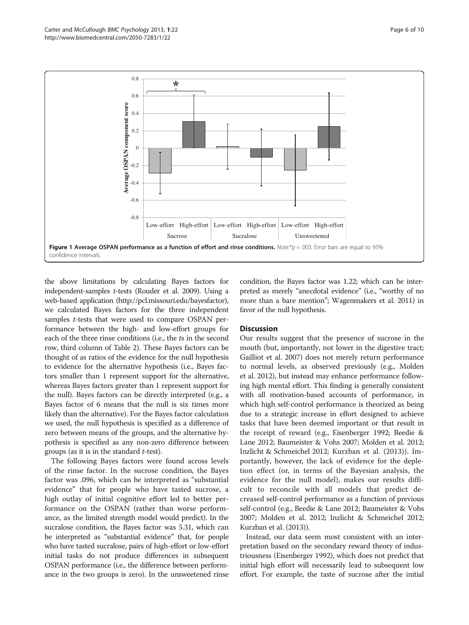<span id="page-5-0"></span>

the above limitations by calculating Bayes factors for independent-samples t-tests (Rouder et al. [2009](#page-8-0)). Using a web-based application [\(http://pcl.missouri.edu/bayesfactor](http://pcl.missouri.edu/bayesfactor)), we calculated Bayes factors for the three independent samples *t*-tests that were used to compare OSPAN performance between the high- and low-effort groups for each of the three rinse conditions (i.e., the ts in the second row, third column of Table [2\)](#page-4-0). These Bayes factors can be thought of as ratios of the evidence for the null hypothesis to evidence for the alternative hypothesis (i.e., Bayes factors smaller than 1 represent support for the alternative, whereas Bayes factors greater than 1 represent support for the null). Bayes factors can be directly interpreted (e.g., a Bayes factor of 6 means that the null is six times more likely than the alternative). For the Bayes factor calculation we used, the null hypothesis is specified as a difference of zero between means of the groups, and the alternative hypothesis is specified as any non-zero difference between groups (as it is in the standard  $t$ -test).

The following Bayes factors were found across levels of the rinse factor. In the sucrose condition, the Bayes factor was .096, which can be interpreted as "substantial evidence" that for people who have tasted sucrose, a high outlay of initial cognitive effort led to better performance on the OSPAN (rather than worse performance, as the limited strength model would predict). In the sucralose condition, the Bayes factor was 5.31, which can be interpreted as "substantial evidence" that, for people who have tasted sucralose, pairs of high-effort or low-effort initial tasks do not produce differences in subsequent OSPAN performance (i.e., the difference between performance in the two groups is zero). In the unsweetened rinse condition, the Bayes factor was 1.22; which can be interpreted as merely "anecdotal evidence" (i.e., "worthy of no more than a bare mention"; Wagenmakers et al. [2011](#page-9-0)) in favor of the null hypothesis.

#### **Discussion**

Our results suggest that the presence of sucrose in the mouth (but, importantly, not lower in the digestive tract; Gailliot et al. [2007](#page-8-0)) does not merely return performance to normal levels, as observed previously (e.g., Molden et al. [2012\)](#page-8-0), but instead may enhance performance following high mental effort. This finding is generally consistent with all motivation-based accounts of performance, in which high self-control performance is theorized as being due to a strategic increase in effort designed to achieve tasks that have been deemed important or that result in the receipt of reward (e.g., Eisenberger [1992](#page-8-0); Beedie & Lane [2012;](#page-8-0) Baumeister & Vohs [2007](#page-8-0); Molden et al. [2012](#page-8-0); Inzlicht & Schmeichel [2012;](#page-8-0) Kurzban et al. [\(2013](#page-8-0))). Importantly, however, the lack of evidence for the depletion effect (or, in terms of the Bayesian analysis, the evidence for the null model), makes our results difficult to reconcile with all models that predict decreased self-control performance as a function of previous self-control (e.g., Beedie & Lane [2012](#page-8-0); Baumeister & Vohs [2007](#page-8-0); Molden et al. [2012](#page-8-0); Inzlicht & Schmeichel [2012](#page-8-0); Kurzban et al. [\(2013](#page-8-0))).

Instead, our data seem most consistent with an interpretation based on the secondary reward theory of industriousness (Eisenberger [1992\)](#page-8-0), which does not predict that initial high effort will necessarily lead to subsequent low effort. For example, the taste of sucrose after the initial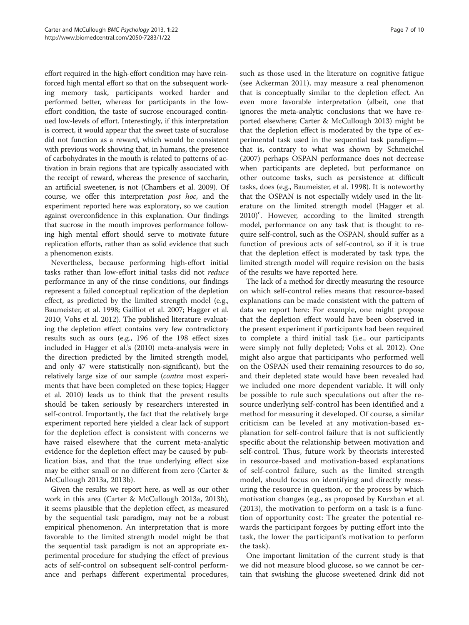effort required in the high-effort condition may have reinforced high mental effort so that on the subsequent working memory task, participants worked harder and performed better, whereas for participants in the loweffort condition, the taste of sucrose encouraged continued low-levels of effort. Interestingly, if this interpretation is correct, it would appear that the sweet taste of sucralose did not function as a reward, which would be consistent with previous work showing that, in humans, the presence of carbohydrates in the mouth is related to patterns of activation in brain regions that are typically associated with the receipt of reward, whereas the presence of saccharin, an artificial sweetener, is not (Chambers et al. [2009\)](#page-8-0). Of course, we offer this interpretation post hoc, and the experiment reported here was exploratory, so we caution against overconfidence in this explanation. Our findings that sucrose in the mouth improves performance following high mental effort should serve to motivate future replication efforts, rather than as solid evidence that such a phenomenon exists.

Nevertheless, because performing high-effort initial tasks rather than low-effort initial tasks did not reduce performance in any of the rinse conditions, our findings represent a failed conceptual replication of the depletion effect, as predicted by the limited strength model (e.g., Baumeister, et al. [1998](#page-8-0); Gailliot et al. [2007](#page-8-0); Hagger et al. [2010](#page-8-0); Vohs et al. [2012\)](#page-9-0). The published literature evaluating the depletion effect contains very few contradictory results such as ours (e.g., 196 of the 198 effect sizes included in Hagger et al.'s ([2010](#page-8-0)) meta-analysis were in the direction predicted by the limited strength model, and only 47 were statistically non-significant), but the relatively large size of our sample (contra most experiments that have been completed on these topics; Hagger et al. [2010\)](#page-8-0) leads us to think that the present results should be taken seriously by researchers interested in self-control. Importantly, the fact that the relatively large experiment reported here yielded a clear lack of support for the depletion effect is consistent with concerns we have raised elsewhere that the current meta-analytic evidence for the depletion effect may be caused by publication bias, and that the true underlying effect size may be either small or no different from zero (Carter & McCullough [2013a, 2013b\)](#page-8-0).

Given the results we report here, as well as our other work in this area (Carter & McCullough [2013a](#page-8-0), [2013b](#page-8-0)), it seems plausible that the depletion effect, as measured by the sequential task paradigm, may not be a robust empirical phenomenon. An interpretation that is more favorable to the limited strength model might be that the sequential task paradigm is not an appropriate experimental procedure for studying the effect of previous acts of self-control on subsequent self-control performance and perhaps different experimental procedures,

such as those used in the literature on cognitive fatigue (see Ackerman [2011\)](#page-8-0), may measure a real phenomenon that is conceptually similar to the depletion effect. An even more favorable interpretation (albeit, one that ignores the meta-analytic conclusions that we have reported elsewhere; Carter & McCullough [2013\)](#page-8-0) might be that the depletion effect is moderated by the type of experimental task used in the sequential task paradigm that is, contrary to what was shown by Schmeichel ([2007\)](#page-8-0) perhaps OSPAN performance does not decrease when participants are depleted, but performance on other outcome tasks, such as persistence at difficult tasks, does (e.g., Baumeister, et al. [1998](#page-8-0)). It is noteworthy that the OSPAN is not especially widely used in the literature on the limited strength model (Hagger et al. [2010](#page-8-0))<sup>c</sup>. However, according to the limited strength model, performance on any task that is thought to require self-control, such as the OSPAN, should suffer as a function of previous acts of self-control, so if it is true that the depletion effect is moderated by task type, the limited strength model will require revision on the basis of the results we have reported here.

The lack of a method for directly measuring the resource on which self-control relies means that resource-based explanations can be made consistent with the pattern of data we report here: For example, one might propose that the depletion effect would have been observed in the present experiment if participants had been required to complete a third initial task (i.e., our participants were simply not fully depleted; Vohs et al. [2012](#page-9-0)). One might also argue that participants who performed well on the OSPAN used their remaining resources to do so, and their depleted state would have been revealed had we included one more dependent variable. It will only be possible to rule such speculations out after the resource underlying self-control has been identified and a method for measuring it developed. Of course, a similar criticism can be leveled at any motivation-based explanation for self-control failure that is not sufficiently specific about the relationship between motivation and self-control. Thus, future work by theorists interested in resource-based and motivation-based explanations of self-control failure, such as the limited strength model, should focus on identifying and directly measuring the resource in question, or the process by which motivation changes (e.g., as proposed by Kurzban et al. ([2013](#page-8-0)), the motivation to perform on a task is a function of opportunity cost: The greater the potential rewards the participant forgoes by putting effort into the task, the lower the participant's motivation to perform the task).

One important limitation of the current study is that we did not measure blood glucose, so we cannot be certain that swishing the glucose sweetened drink did not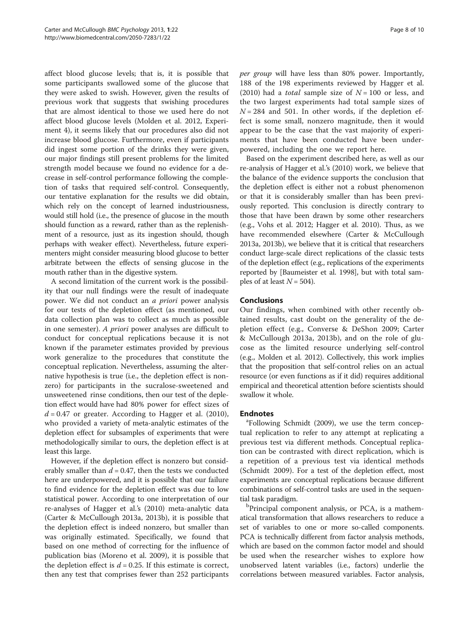affect blood glucose levels; that is, it is possible that some participants swallowed some of the glucose that they were asked to swish. However, given the results of previous work that suggests that swishing procedures that are almost identical to those we used here do not affect blood glucose levels (Molden et al. [2012](#page-8-0), Experiment 4), it seems likely that our procedures also did not increase blood glucose. Furthermore, even if participants did ingest some portion of the drinks they were given, our major findings still present problems for the limited strength model because we found no evidence for a decrease in self-control performance following the completion of tasks that required self-control. Consequently, our tentative explanation for the results we did obtain, which rely on the concept of learned industriousness, would still hold (i.e., the presence of glucose in the mouth should function as a reward, rather than as the replenishment of a resource, just as its ingestion should, though perhaps with weaker effect). Nevertheless, future experimenters might consider measuring blood glucose to better arbitrate between the effects of sensing glucose in the mouth rather than in the digestive system.

A second limitation of the current work is the possibility that our null findings were the result of inadequate power. We did not conduct an a priori power analysis for our tests of the depletion effect (as mentioned, our data collection plan was to collect as much as possible in one semester). A priori power analyses are difficult to conduct for conceptual replications because it is not known if the parameter estimates provided by previous work generalize to the procedures that constitute the conceptual replication. Nevertheless, assuming the alternative hypothesis is true (i.e., the depletion effect is nonzero) for participants in the sucralose-sweetened and unsweetened rinse conditions, then our test of the depletion effect would have had 80% power for effect sizes of  $d = 0.47$  or greater. According to Hagger et al. [\(2010](#page-8-0)), who provided a variety of meta-analytic estimates of the depletion effect for subsamples of experiments that were methodologically similar to ours, the depletion effect is at least this large.

However, if the depletion effect is nonzero but considerably smaller than  $d = 0.47$ , then the tests we conducted here are underpowered, and it is possible that our failure to find evidence for the depletion effect was due to low statistical power. According to one interpretation of our re-analyses of Hagger et al.'s [\(2010](#page-8-0)) meta-analytic data (Carter & McCullough [2013a](#page-8-0), [2013b\)](#page-8-0), it is possible that the depletion effect is indeed nonzero, but smaller than was originally estimated. Specifically, we found that based on one method of correcting for the influence of publication bias (Moreno et al. [2009\)](#page-8-0), it is possible that the depletion effect is  $d = 0.25$ . If this estimate is correct, then any test that comprises fewer than 252 participants per group will have less than 80% power. Importantly, 188 of the 198 experiments reviewed by Hagger et al. ([2010\)](#page-8-0) had a *total* sample size of  $N = 100$  or less, and the two largest experiments had total sample sizes of  $N = 284$  and 501. In other words, if the depletion effect is some small, nonzero magnitude, then it would appear to be the case that the vast majority of experiments that have been conducted have been underpowered, including the one we report here.

Based on the experiment described here, as well as our re-analysis of Hagger et al.'s [\(2010\)](#page-8-0) work, we believe that the balance of the evidence supports the conclusion that the depletion effect is either not a robust phenomenon or that it is considerably smaller than has been previously reported. This conclusion is directly contrary to those that have been drawn by some other researchers (e.g., Vohs et al. [2012;](#page-9-0) Hagger et al. [2010\)](#page-8-0). Thus, as we have recommended elsewhere (Carter & McCullough [2013a, 2013b](#page-8-0)), we believe that it is critical that researchers conduct large-scale direct replications of the classic tests of the depletion effect (e.g., replications of the experiments reported by [Baumeister et al. [1998](#page-8-0)], but with total samples of at least  $N = 504$ ).

## Conclusions

Our findings, when combined with other recently obtained results, cast doubt on the generality of the depletion effect (e.g., Converse & DeShon [2009;](#page-8-0) Carter & McCullough [2013a, 2013b](#page-8-0)), and on the role of glucose as the limited resource underlying self-control (e.g., Molden et al. [2012](#page-8-0)). Collectively, this work implies that the proposition that self-control relies on an actual resource (or even functions as if it did) requires additional empirical and theoretical attention before scientists should swallow it whole.

## **Endnotes**

Following Schmidt ([2009\)](#page-8-0), we use the term conceptual replication to refer to any attempt at replicating a previous test via different methods. Conceptual replication can be contrasted with direct replication, which is a repetition of a previous test via identical methods (Schmidt [2009\)](#page-8-0). For a test of the depletion effect, most experiments are conceptual replications because different combinations of self-control tasks are used in the sequential task paradigm.

<sup>b</sup>Principal component analysis, or PCA, is a mathematical transformation that allows researchers to reduce a set of variables to one or more so-called components. PCA is technically different from factor analysis methods, which are based on the common factor model and should be used when the researcher wishes to explore how unobserved latent variables (i.e., factors) underlie the correlations between measured variables. Factor analysis,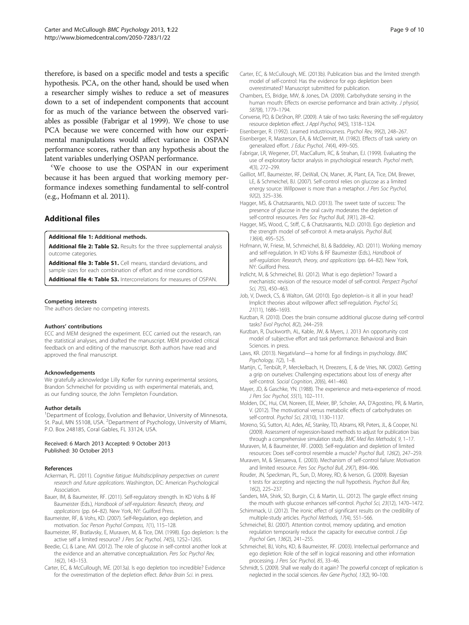<span id="page-8-0"></span>therefore, is based on a specific model and tests a specific hypothesis. PCA, on the other hand, should be used when a researcher simply wishes to reduce a set of measures down to a set of independent components that account for as much of the variance between the observed variables as possible (Fabrigar et al 1999). We chose to use PCA because we were concerned with how our experimental manipulations would affect variance in OSPAN performance scores, rather than any hypothesis about the latent variables underlying OSPAN performance.

We choose to use the OSPAN in our experiment because it has been argued that working memory performance indexes something fundamental to self-control (e.g., Hofmann et al. 2011).

## Additional files

[Additional file 1:](http://www.biomedcentral.com/content/supplementary/2050-7283-1-22-S1.docx) Additional methods.

[Additional file 2: Table S2.](http://www.biomedcentral.com/content/supplementary/2050-7283-1-22-S2.docx) Results for the three supplemental analysis outcome categories.

[Additional file 3: Table S1.](http://www.biomedcentral.com/content/supplementary/2050-7283-1-22-S3.docx) Cell means, standard deviations, and sample sizes for each combination of effort and rinse conditions.

[Additional file 4: Table S3.](http://www.biomedcentral.com/content/supplementary/2050-7283-1-22-S4.docx) Intercorrelations for measures of OSPAN.

#### Competing interests

The authors declare no competing interests.

#### Authors' contributions

ECC and MEM designed the experiment. ECC carried out the research, ran the statistical analyses, and drafted the manuscript. MEM provided critical feedback on and editing of the manuscript. Both authors have read and approved the final manuscript.

#### Acknowledgements

We gratefully acknowledge Lilly Kofler for running experimental sessions, Brandon Schmeichel for providing us with experimental materials, and, as our funding source, the John Templeton Foundation.

#### Author details

<sup>1</sup>Department of Ecology, Evolution and Behavior, University of Minnesota, St. Paul, MN 55108, USA. <sup>2</sup>Department of Psychology, University of Miami, P.O. Box 248185, Coral Gables, FL 33124, USA.

Received: 6 March 2013 Accepted: 9 October 2013 Published: 30 October 2013

#### References

- Ackerman, PL. (2011). Cognitive fatigue: Multidisciplinary perspectives on current research and future applications. Washington, DC: American Psychological Association.
- Bauer, IM, & Baumeister, RF. (2011). Self-regulatory strength. In KD Vohs & RF Baumeister (Eds.), Handbook of self-regulation: Research, theory, and applications (pp. 64–82). New York, NY: Guilford Press.
- Baumeister, RF, & Vohs, KD. (2007). Self‐Regulation, ego depletion, and motivation. Soc Person Psychol Compass, 1(1), 115–128.
- Baumeister, RF, Bratlavsky, E, Muraven, M, & Tice, DM. (1998). Ego depletion: Is the active self a limited resource? J Pers Soc Psychol, 74(5), 1252–1265.
- Beedie, CJ, & Lane, AM. (2012). The role of glucose in self-control another look at the evidence and an alternative conceptualization. Pers Soc Psychol Rev, 16(2), 143–153.
- Carter, EC, & McCullough, ME. (2013a). Is ego depletion too incredible? Evidence for the overestimation of the depletion effect. Behav Brain Sci. in press.
- Carter, EC, & McCullough, ME. (2013b). Publication bias and the limited strength model of self-control: Has the evidence for ego depletion been overestimated? Manuscript submitted for publication.
- Chambers, ES, Bridge, MW, & Jones, DA. (2009). Carbohydrate sensing in the human mouth: Effects on exercise performance and brain activity. J physiol, 587(8), 1779–1794.
- Converse, PD, & DeShon, RP. (2009). A tale of two tasks: Reversing the self-regulatory resource depletion effect. J Appl Psychol, 94(5), 1318–1324.
- Eisenberger, R. (1992). Learned industriousness. Psychol Rev, 99(2), 248–267.
- Eisenberger, R, Masterson, EA, & McDermitt, M. (1982). Effects of task variety on generalized effort. J Educ Psychol, 74(4), 499–505.
- Fabrigar, LR, Wegener, DT, MacCallum, RC, & Strahan, EJ. (1999). Evaluating the use of exploratory factor analysis in psychological research. Psychol meth, 4(3), 272–299.
- Gailliot, MT, Baumeister, RF, DeWall, CN, Maner, JK, Plant, EA, Tice, DM, Brewer, LE, & Schmeichel, BJ. (2007). Self-control relies on glucose as a limited energy source: Willpower is more than a metaphor. J Pers Soc Psychol, 92(2), 325–336.
- Hagger, MS, & Chatzisarantis, NLD. (2013). The sweet taste of success: The presence of glucose in the oral cavity moderates the depletion of self-control resources. Pers Soc Psychol Bull, 39(1), 28–42.
- Hagger, MS, Wood, C, Stiff, C, & Chatzisarantis, NLD. (2010). Ego depletion and the strength model of self-control: A meta-analysis. Psychol Bull, 136(4), 495–525.
- Hofmann, W, Friese, M, Schmeichel, BJ, & Baddeley, AD. (2011). Working memory and self-regulation. In KD Vohs & RF Baumeister (Eds.), Handbook of self-regulation: Research, theory, and applications (pp. 64–82). New York, NY: Guilford Press.
- Inzlicht, M, & Schmeichel, BJ. (2012). What is ego depletion? Toward a mechanistic revision of the resource model of self-control. Perspect Psychol Sci, 7(5), 450–463.
- Job, V, Dweck, CS, & Walton, GM. (2010). Ego depletion–is it all in your head? Implicit theories about willpower affect self-regulation. Psychol Sci, 21(11), 1686–1693.
- Kurzban, R. (2010). Does the brain consume additional glucose during self-control tasks? Evol Psychol, 8(2), 244–259.
- Kurzban, R, Duckworth, AL, Kable, JW, & Myers, J. 2013 An opportunity cost model of subjective effort and task performance. Behavioral and Brain Sciences. in press.
- Laws, KR. (2013). Negativland—a home for all findings in psychology. BMC Psychology, 1(2), 1–8.
- Martijn, C, Tenbült, P, Merckelbach, H, Dreezens, E, & de Vries, NK. (2002). Getting a grip on ourselves: Challenging expectations about loss of energy after self-control. Social Cognition, 20(6), 441–460.
- Mayer, JD, & Gaschke, YN. (1988). The experience and meta-experience of mood. J Pers Soc Psychol, 55(1), 102–111.
- Molden, DC, Hui, CM, Noreen, EE, Meier, BP, Scholer, AA, D'Agostino, PR, & Martin, V. (2012). The motivational versus metabolic effects of carbohydrates on self-control. Psychol Sci, 23(10), 1130–1137.
- Moreno, SG, Sutton, AJ, Ades, AE, Stanley, TD, Abrams, KR, Peters, JL, & Cooper, NJ. (2009). Assessment of regression-based methods to adjust for publication bias through a comprehensive simulation study. BMC Med Res Methodol, 9, 1-17.

Muraven, M, & Baumeister, RF. (2000). Self-regulation and depletion of limited resources: Does self-control resemble a muscle? Psychol Bull, 126(2), 247–259.

- Muraven, M, & Slessareva, E. (2003). Mechanism of self-control failure: Motivation and limited resource. Pers Soc Psychol Bull, 29(7), 894–906.
- Rouder, JN, Speckman, PL, Sun, D, Morey, RD, & Iverson, G. (2009). Bayesian t tests for accepting and rejecting the null hypothesis. Psychon Bull Rev, 16(2), 225–237.
- Sanders, MA, Shirk, SD, Burgin, CJ, & Martin, LL. (2012). The gargle effect rinsing the mouth with glucose enhances self-control. Psychol Sci, 23(12), 1470–1472.
- Schimmack, U. (2012). The ironic effect of significant results on the credibility of multiple-study articles. Psychol Methods, 17(4), 551–566.
- Schmeichel, BJ. (2007). Attention control, memory updating, and emotion regulation temporarily reduce the capacity for executive control. J Exp Psychol Gen, 136(2), 241–255.
- Schmeichel, BJ, Vohs, KD, & Baumeister, RF. (2003). Intellectual performance and ego depletion: Role of the self in logical reasoning and other information processing. J Pers Soc Psychol, 85, 33–46.
- Schmidt, S. (2009). Shall we really do it again? The powerful concept of replication is neglected in the social sciences. Rev Gene Psychol, 13(2), 90–100.